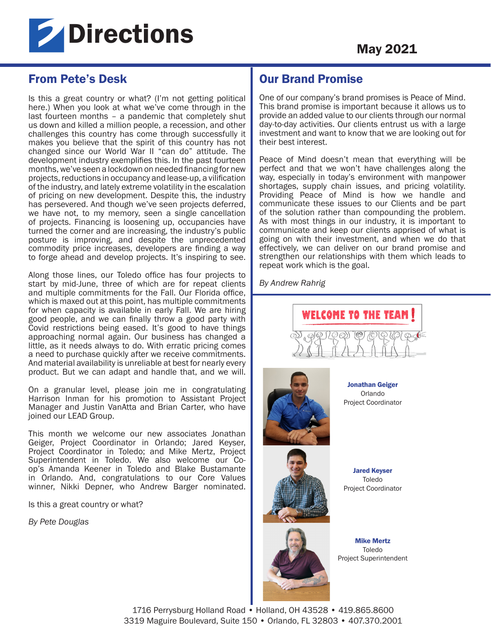

# From Pete's Desk

Is this a great country or what? (I'm not getting political here.) When you look at what we've come through in the last fourteen months – a pandemic that completely shut us down and killed a million people, a recession, and other challenges this country has come through successfully it makes you believe that the spirit of this country has not changed since our World War II "can do" attitude. The development industry exemplifies this. In the past fourteen months, we've seen a lockdown on needed financing for new projects, reductions in occupancy and lease-up, a vilification of the industry, and lately extreme volatility in the escalation of pricing on new development. Despite this, the industry has persevered. And though we've seen projects deferred, we have not, to my memory, seen a single cancellation of projects. Financing is loosening up, occupancies have turned the corner and are increasing, the industry's public posture is improving, and despite the unprecedented commodity price increases, developers are finding a way to forge ahead and develop projects. It's inspiring to see.

Along those lines, our Toledo office has four projects to start by mid-June, three of which are for repeat clients and multiple commitments for the Fall. Our Florida office, which is maxed out at this point, has multiple commitments for when capacity is available in early Fall. We are hiring good people, and we can finally throw a good party with Covid restrictions being eased. It's good to have things approaching normal again. Our business has changed a little, as it needs always to do. With erratic pricing comes a need to purchase quickly after we receive commitments. And material availability is unreliable at best for nearly every product. But we can adapt and handle that, and we will.

On a granular level, please join me in congratulating Harrison Inman for his promotion to Assistant Project Manager and Justin VanAtta and Brian Carter, who have joined our LEAD Group.

This month we welcome our new associates Jonathan Geiger, Project Coordinator in Orlando; Jared Keyser, Project Coordinator in Toledo; and Mike Mertz, Project Superintendent in Toledo. We also welcome our Coop's Amanda Keener in Toledo and Blake Bustamante in Orlando. And, congratulations to our Core Values winner, Nikki Depner, who Andrew Barger nominated.

Is this a great country or what?

*By Pete Douglas* 

## Our Brand Promise

One of our company's brand promises is Peace of Mind. This brand promise is important because it allows us to provide an added value to our clients through our normal day-to-day activities. Our clients entrust us with a large investment and want to know that we are looking out for their best interest.

Peace of Mind doesn't mean that everything will be perfect and that we won't have challenges along the way, especially in today's environment with manpower shortages, supply chain issues, and pricing volatility. Providing Peace of Mind is how we handle and communicate these issues to our Clients and be part of the solution rather than compounding the problem. As with most things in our industry, it is important to communicate and keep our clients apprised of what is going on with their investment, and when we do that effectively, we can deliver on our brand promise and strengthen our relationships with them which leads to repeat work which is the goal.

*By Andrew Rahrig*